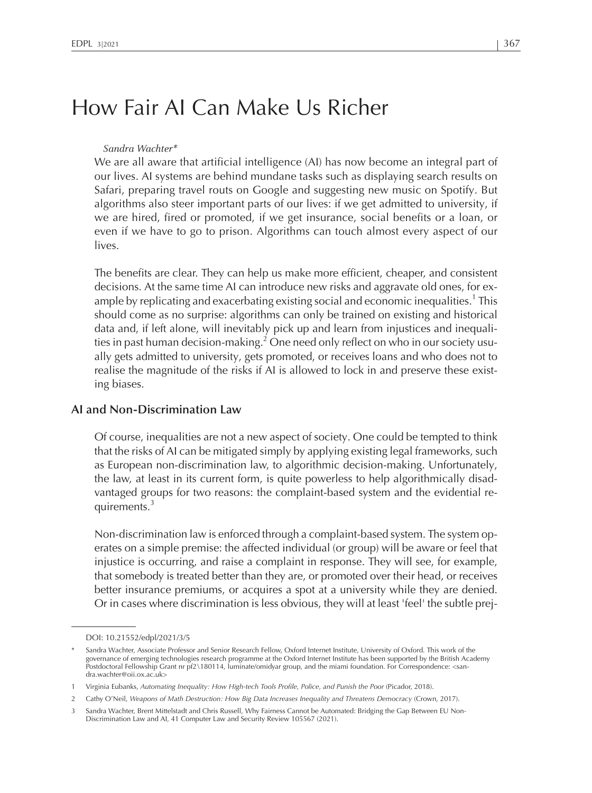# How Fair AI Can Make Us Richer

#### Sandra Wachter\*

We are all aware that artificial intelligence (AI) has now become an integral par<sup>t</sup> of our lives. AI systems are behind mundane tasks such as displaying search results on Safari, preparing travel routs on Google and suggesting new music on Spotify. But algorithms also steer important parts of our lives: if we ge<sup>t</sup> admitted to university, if we are hired, fired or promoted, if we ge<sup>t</sup> insurance, social benefits or <sup>a</sup> loan, or even if we have to go to prison. Algorithms can touch almost every aspec<sup>t</sup> of our lives.

The benefits are clear. They can help us make more efficient, cheaper, and consistent decisions. At the same time AI can introduce new risks and aggravate old ones, for example by replicating and exacerbating existing social and economic inequalities.<sup>1</sup> This should come as no surprise: algorithms can only be trained on existing and historical data and, if left alone, will inevitably pick up and learn from injustices and inequalities in past human decision-making.<sup>2</sup> One need only reflect on who in our society usually gets admitted to university, gets promoted, or receives loans and who does not to realise the magnitude of the risks if AI is allowed to lock in and preserve these existing biases.

### **AI and Non-Discrimination Law**

Of course, inequalities are not <sup>a</sup> new aspec<sup>t</sup> of society. One could be tempted to think that the risks of AI can be mitigated simply by applying existing legal frameworks, such as European non-discrimination law, to algorithmic decision-making. Unfortunately, the law, at least in its current form, is quite powerless to help algorithmically disadvantaged groups for two reasons: the complaint-based system and the evidential requirements.<sup>3</sup>

Non-discrimination law is enforced through <sup>a</sup> complaint-based system. The system operates on <sup>a</sup> simple premise: the affected individual (or group) will be aware or feel that injustice is occurring, and raise <sup>a</sup> complaint in response. They will see, for example, that somebody is treated better than they are, or promoted over their head, or receives better insurance premiums, or acquires <sup>a</sup> spo<sup>t</sup> at <sup>a</sup> university while they are denied. Or in cases where discrimination is less obvious, they will at least 'feel' the subtle prej-

DOI: 10.21552/edpl/2021/3/5

<sup>\*</sup> Sandra Wachter, Associate Professor and Senior Research Fellow, Oxford Internet Institute, University of Oxford. This work of the governance of emerging technologies research programme at the Oxford Internet Institute has been supported by the British Academy Postdoctoral Fellowship Grant nr pf2\180114, luminate/omidyar group, and the miami foundation. For Correspondence: <sandra.wachter@oii.ox.ac.uk>

<sup>1</sup> Virginia Eubanks, *Automating Inequality: How High-tech Tools Profile, Police, and Punish the Poor* (Picador, 2018).

<sup>2</sup> Cathy O'Neil, *Weapons of Math Destruction: How Big Data Increases Inequality and Threatens Democracy* (Crown, 2017).

<sup>3</sup> Sandra Wachter, Brent Mittelstadt and Chris Russell, Why Fairness Cannot be Automated: Bridging the Gap Between EU Non-Discrimination Law and AI, <sup>41</sup> Computer Law and Security Review <sup>105567</sup> (2021).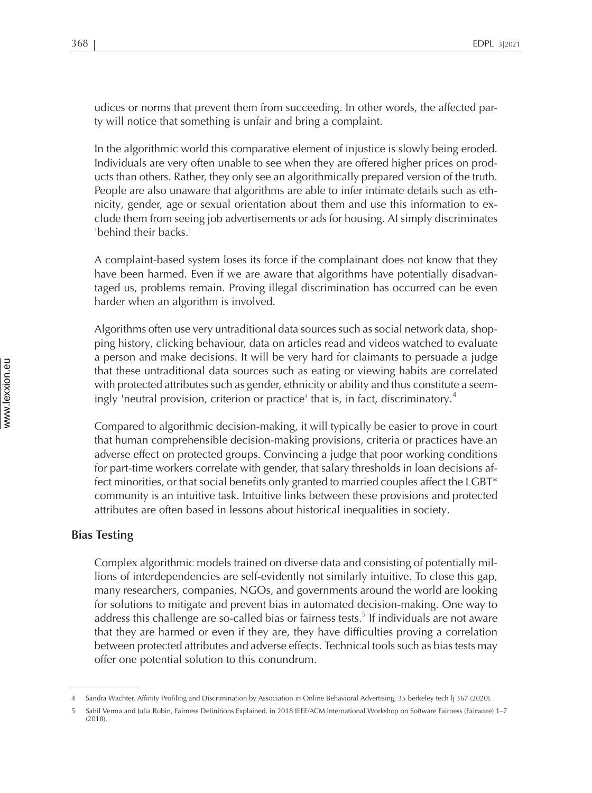udices or norms that preven<sup>t</sup> them from succeeding. In other words, the affected party will notice that something is unfair and bring <sup>a</sup> complaint.

In the algorithmic world this comparative element of injustice is slowly being eroded. Individuals are very often unable to see when they are offered higher prices on products than others. Rather, they only see an algorithmically prepared version of the truth. People are also unaware that algorithms are able to infer intimate details such as ethnicity, gender, age or sexual orientation about them and use this information to exclude them from seeing job advertisements or ads for housing. AI simply discriminates 'behind their backs.'

<sup>A</sup> complaint-based system loses its force if the complainant does not know that they have been harmed. Even if we are aware that algorithms have potentially disadvantaged us, problems remain. Proving illegal discrimination has occurred can be even harder when an algorithm is involved.

Algorithms often use very untraditional data sources such as social network data, shopping history, clicking behaviour, data on articles read and videos watched to evaluate <sup>a</sup> person and make decisions. It will be very hard for claimants to persuade <sup>a</sup> judge that these untraditional data sources such as eating or viewing habits are correlated with protected attributes such as gender, ethnicity or ability and thus constitute <sup>a</sup> seemingly 'neutral provision, criterion or practice' that is, in fact, discriminatory. 4  $\frac{1}{2}$ 

Compared to algorithmic decision-making, it will typically be easier to prove in court that human comprehensible decision-making provisions, criteria or practices have an adverse effect on protected groups. Convincing <sup>a</sup> judge that poor working conditions for part-time workers correlate with gender, that salary thresholds in loan decisions affect minorities, or that social benefits only granted to married couples affect the LGBT\* community is an intuitive task. Intuitive links between these provisions and protected attributes are often based in lessons about historical inequalities in society.

## **Bias Testing**

Complex algorithmic models trained on diverse data and consisting of potentially millions of interdependencies are self-evidently not similarly intuitive. To close this gap, many researchers, companies, NGOs, and governments around the world are looking for solutions to mitigate and preven<sup>t</sup> bias in automated decision-making. One way to address this challenge are so-called bias or fairness tests.<sup>5</sup> If individuals are not aware that they are harmed or even if they are, they have difficulties proving <sup>a</sup> correlation between protected attributes and adverse effects. Technical tools such as bias tests may offer one potential solution to this conundrum.

<sup>4</sup> Sandra Wachter, Affinity Profiling and Discrimination by Association in Online Behavioral Advertising, <sup>35</sup> berkeley tech lj <sup>367</sup> (2020).

<sup>5</sup> Sahil Verma and Julia Rubin, Fairness Definitions Explained, in 2018 IEEE/ACM International Workshop on Software Fairness (Fairware) 1–7  $(2018)$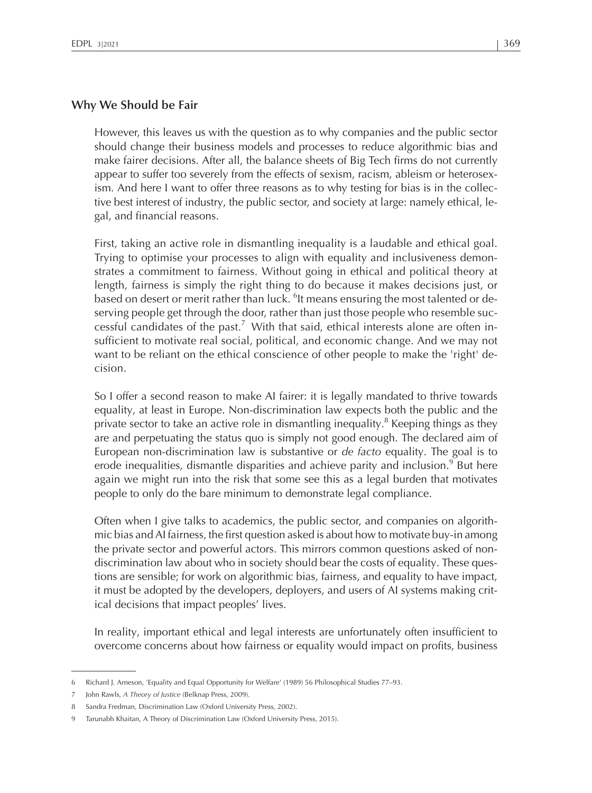# **Why We Should be Fair**

However, this leaves us with the question as to why companies and the public sector should change their business models and processes to reduce algorithmic bias and make fairer decisions. After all, the balance sheets of Big Tech firms do not currently appear to suffer too severely from the effects of sexism, racism, ableism or heterosexism. And here <sup>I</sup> want to offer three reasons as to why testing for bias is in the collective best interest of industry, the public sector, and society at large: namely ethical, legal, and financial reasons.

First, taking an active role in dismantling inequality is <sup>a</sup> laudable and ethical goal. Trying to optimise your processes to align with equality and inclusiveness demonstrates <sup>a</sup> commitment to fairness. Without going in ethical and political theory at length, fairness is simply the right thing to do because it makes decisions just, or based on desert or merit rather than luck.  $^6$ It means ensuring the most talented or deserving people ge<sup>t</sup> through the door, rather than just those people who resemble successful candidates of the past.<sup>7</sup> With that said, ethical interests alone are often insufficient to motivate real social, political, and economic change. And we may not want to be reliant on the ethical conscience of other people to make the 'right' decision.

So <sup>I</sup> offer <sup>a</sup> second reason to make AI fairer: it is legally mandated to thrive towards equality, at least in Europe. Non-discrimination law expects both the public and the private sector to take an active role in dismantling inequality. $^8$  Keeping things as they are and perpetuating the status quo is simply not good enough. The declared aim of European non-discrimination law is substantive or *de facto* equality. The goal is to erode inequalities, dismantle disparities and achieve parity and inclusion.<sup>9</sup> But here again we might run into the risk that some see this as <sup>a</sup> legal burden that motivates people to only do the bare minimum to demonstrate legal compliance.

Often when <sup>I</sup> give talks to academics, the public sector, and companies on algorithmic bias and AI fairness, the first question asked is about how to motivate buy-in among the private sector and powerful actors. This mirrors common questions asked of nondiscrimination law about who in society should bear the costs of equality. These questions are sensible; for work on algorithmic bias, fairness, and equality to have impact, it must be adopted by the developers, deployers, and users of AI systems making critical decisions that impact peoples' lives.

In reality, important ethical and legal interests are unfortunately often insufficient to overcome concerns about how fairness or equality would impact on profits, business

<sup>6</sup> Richard J. Arneson, 'Equality and Equal Opportunity for Welfare' (1989) <sup>56</sup> Philosophical Studies 77–93.

<sup>7</sup> John Rawls, *<sup>A</sup> Theory of Justice* (Belknap Press, 2009).

<sup>8</sup> Sandra Fredman, Discrimination Law (Oxford University Press, 2002).

Tarunabh Khaitan, A Theory of Discrimination Law (Oxford University Press, 2015).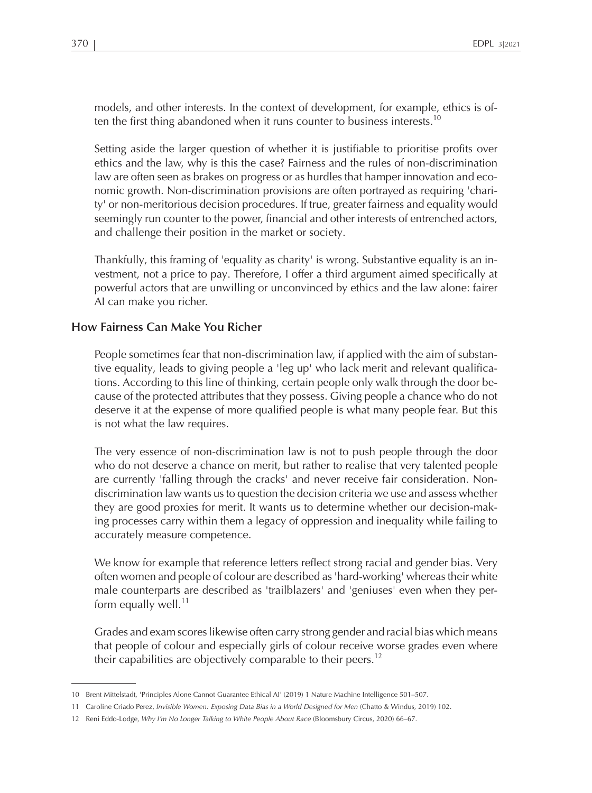models, and other interests. In the context of development, for example, ethics is often the first thing abandoned when it runs counter to business interests.  $^{10}$ 

Setting aside the larger question of whether it is justifiable to prioritise profits over ethics and the law, why is this the case? Fairness and the rules of non-discrimination law are often seen as brakes on progress or as hurdles that hamper innovation and economic growth. Non-discrimination provisions are often portrayed as requiring 'charity' or non-meritorious decision procedures. If true, greater fairness and equality would seemingly run counter to the power, financial and other interests of entrenched actors, and challenge their position in the market or society.

Thankfully, this framing of 'equality as charity' is wrong. Substantive equality is an investment, not <sup>a</sup> price to pay. Therefore, <sup>I</sup> offer <sup>a</sup> third argumen<sup>t</sup> aimed specifically at powerful actors that are unwilling or unconvinced by ethics and the law alone: fairer AI can make you richer.

# **How Fairness Can Make You Richer**

People sometimes fear that non-discrimination law, if applied with the aim of substantive equality, leads to giving people <sup>a</sup> 'leg up' who lack merit and relevant qualifications. According to this line of thinking, certain people only walk through the door because of the protected attributes that they possess. Giving people <sup>a</sup> chance who do not deserve it at the expense of more qualified people is what many people fear. But this is not what the law requires.

The very essence of non-discrimination law is not to push people through the door who do not deserve <sup>a</sup> chance on merit, but rather to realise that very talented people are currently 'falling through the cracks' and never receive fair consideration. Nondiscrimination law wants usto question the decision criteria we use and assess whether they are good proxies for merit. It wants us to determine whether our decision-making processes carry within them <sup>a</sup> legacy of oppression and inequality while failing to accurately measure competence.

We know for example that reference letters reflect strong racial and gender bias. Very often women and people of colour are described as'hard-working' whereastheir white male counterparts are described as 'trailblazers' and 'geniuses' even when they perform equally well.<sup>11</sup>

Grades and exam scoreslikewise often carry strong gender and racial bias which means that people of colour and especially girls of colour receive worse grades even where their capabilities are objectively comparable to their peers.<sup>12</sup>

<sup>10</sup> Brent Mittelstadt, 'Principles Alone Cannot Guarantee Ethical AI' (2019) <sup>1</sup> Nature Machine Intelligence 501–507.

<sup>11</sup> Caroline Criado Perez, *Invisible Women: Exposing Data Bias in <sup>a</sup> World Designed for Men* (Chatto & Windus, 2019) 102.

<sup>12</sup> Reni Eddo-Lodge, *Why I'm No Longer Talking to White People About Race* (Bloomsbury Circus, 2020) 66–67.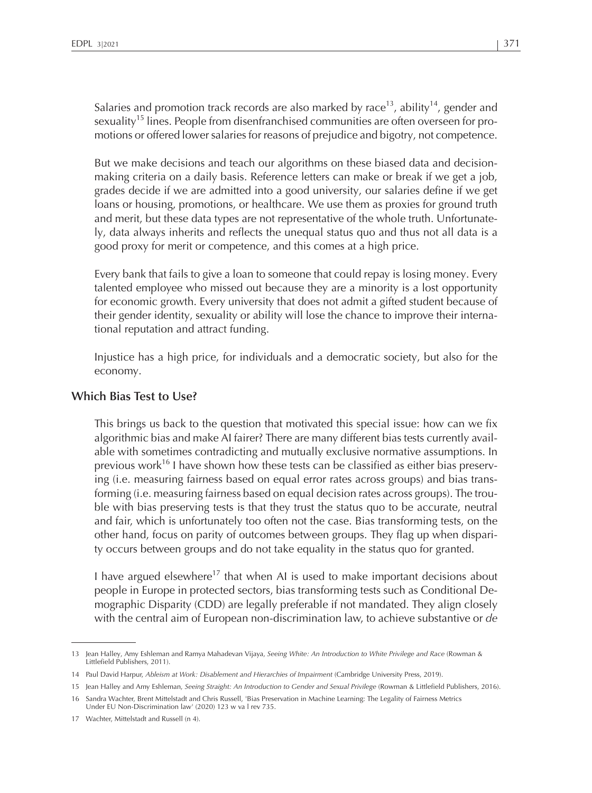Salaries and promotion track records are also marked by race $^{\rm 13}$ , ability $^{\rm 14}$ , gender and sexuality<sup>15</sup> lines. People from disenfranchised communities are often overseen for promotions or offered lower salaries for reasons of prejudice and bigotry, not competence.

But we make decisions and teach our algorithms on these biased data and decisionmaking criteria on <sup>a</sup> daily basis. Reference letters can make or break if we ge<sup>t</sup> <sup>a</sup> job, grades decide if we are admitted into <sup>a</sup> good university, our salaries define if we ge<sup>t</sup> loans or housing, promotions, or healthcare. We use them as proxies for ground truth and merit, but these data types are not representative of the whole truth. Unfortunately, data always inherits and reflects the unequal status quo and thus not all data is <sup>a</sup> good proxy for merit or competence, and this comes at <sup>a</sup> high price.

Every bank that fails to give <sup>a</sup> loan to someone that could repay is losing money. Every talented employee who missed out because they are <sup>a</sup> minority is <sup>a</sup> lost opportunity for economic growth. Every university that does not admit <sup>a</sup> gifted student because of their gender identity, sexuality or ability will lose the chance to improve their international reputation and attract funding.

Injustice has <sup>a</sup> high price, for individuals and <sup>a</sup> democratic society, but also for the economy.

## **Which Bias Test to Use?**

This brings us back to the question that motivated this special issue: how can we fix algorithmic bias and make AI fairer? There are many different bias tests currently available with sometimes contradicting and mutually exclusive normative assumptions. In previous work<sup>16</sup> I have shown how these tests can be classified as either bias preserving (i.e. measuring fairness based on equal error rates across groups) and bias transforming (i.e. measuring fairness based on equal decision rates across groups). The trouble with bias preserving tests is that they trust the status quo to be accurate, neutral and fair, which is unfortunately too often not the case. Bias transforming tests, on the other hand, focus on parity of outcomes between groups. They flag up when disparity occurs between groups and do not take equality in the status quo for granted.

I have argued elsewhere<sup>17</sup> that when AI is used to make important decisions about people in Europe in protected sectors, bias transforming tests such as Conditional Demographic Disparity (CDD) are legally preferable if not mandated. They align closely with the central aim of European non-discrimination law, to achieve substantive or *de*

<sup>13</sup> Jean Halley, Amy Eshleman and Ramya Mahadevan Vijaya, *Seeing White: An Introduction to White Privilege and Race* (Rowman & Littlefield Publishers, 2011).

<sup>14</sup> Paul David Harpur, *Ableism at Work: Disablement and Hierarchies of Impairment* (Cambridge University Press, 2019).

<sup>15</sup> Jean Halley and Amy Eshleman, *Seeing Straight: An Introduction to Gender and Sexual Privilege* (Rowman & Littlefield Publishers, 2016).

<sup>16</sup> Sandra Wachter, Brent Mittelstadt and Chris Russell, 'Bias Preservation in Machine Learning: The Legality of Fairness Metrics Under EU Non-Discrimination law' (2020) 123 <sup>w</sup> va l rev 735.

<sup>17</sup> Wachter, Mittelstadt and Russell (n 4).